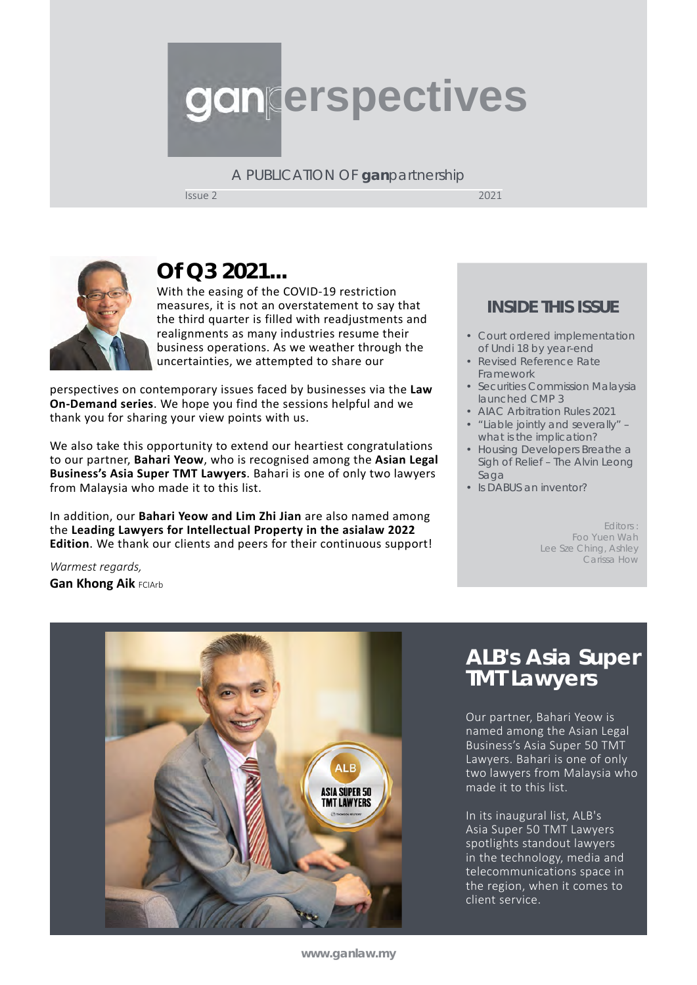# **erspectives**

A PUBLICATION OF **gan**partnership

Issue 2 2021



# **Of Q3 2021...**

With the easing of the COVID-19 restriction measures, it is not an overstatement to say that the third quarter is filled with readjustments and realignments as many industries resume their business operations. As we weather through the uncertainties, we attempted to share our

perspectives on contemporary issues faced by businesses via the **Law On-Demand series**. We hope you find the sessions helpful and we thank you for sharing your view points with us.

We also take this opportunity to extend our heartiest congratulations to our partner, **Bahari Yeow**, who is recognised among the **Asian Legal Business's Asia Super TMT Lawyers**. Bahari is one of only two lawyers from Malaysia who made it to this list.

In addition, our **Bahari Yeow and Lim Zhi Jian** are also named among the **Leading Lawyers for Intellectual Property in the asialaw 2022 Edition**. We thank our clients and peers for their continuous support!

#### **INSIDE THIS ISSUE**

- Court ordered implementation of Undi 18 by year-end
- Revised Reference Rate Framework
- Securities Commission Malaysia launched CMP 3
- AIAC Arbitration Rules 2021
- "Liable jointly and severally" – what is the implication?
- Housing Developers Breathe a Sigh of Relief – The *Alvin Leong*  Saga
- Is DABUS an inventor?

Editors : Foo Yuen Wah Lee Sze Ching, Ashley Carissa How

*Warmest regards,*  **Gan Khong Aik FCIArb** 



# **ALB's Asia Super TMT Lawyers**

Our partner, Bahari Yeow is named among the Asian Legal Business's Asia Super 50 TMT Lawyers. Bahari is one of only two lawyers from Malaysia who made it to this list.

In its inaugural list, ALB's Asia Super 50 TMT Lawyers spotlights standout lawyers in the technology, media and telecommunications space in the region, when it comes to client service.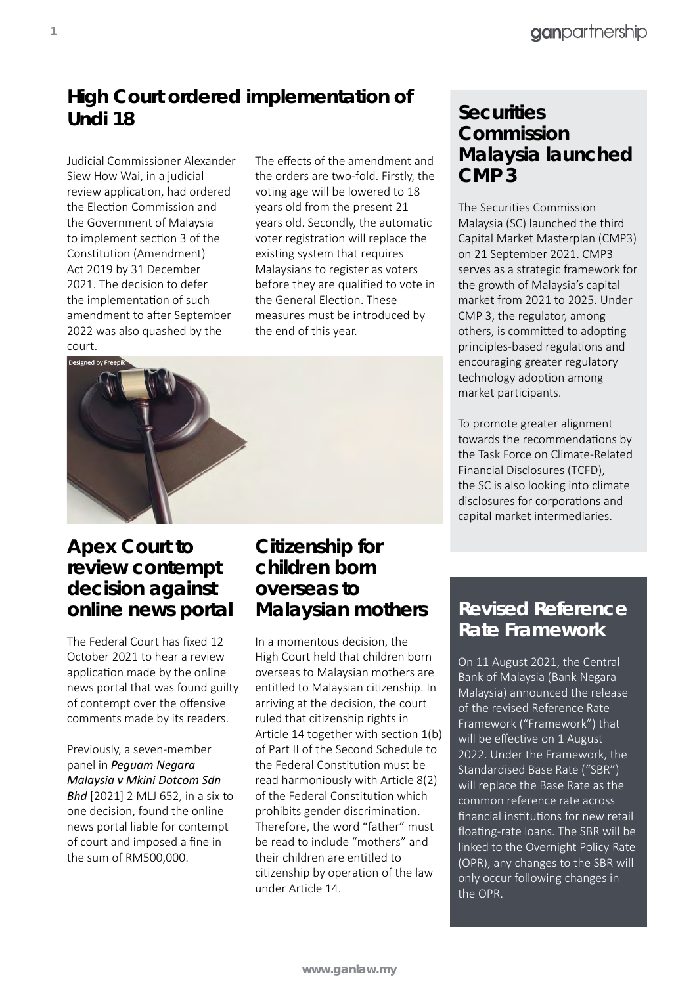## **High Court ordered implementation of Undi 18**

Judicial Commissioner Alexander Siew How Wai, in a judicial review application, had ordered the Election Commission and the Government of Malaysia to implement section 3 of the Constitution (Amendment) Act 2019 by 31 December 2021. The decision to defer the implementation of such amendment to after September 2022 was also quashed by the court.

The effects of the amendment and the orders are two-fold. Firstly, the voting age will be lowered to 18 years old from the present 21 years old. Secondly, the automatic voter registration will replace the existing system that requires Malaysians to register as voters before they are qualified to vote in the General Election. These measures must be introduced by the end of this year.



#### **Apex Court to review contempt decision against online news portal**

The Federal Court has fixed 12 October 2021 to hear a review application made by the online news portal that was found guilty of contempt over the offensive comments made by its readers.

Previously, a seven-member panel in *Peguam Negara Malaysia v Mkini Dotcom Sdn Bhd* [2021] 2 MLJ 652, in a six to one decision, found the online news portal liable for contempt of court and imposed a fine in the sum of RM500,000.

#### **Citizenship for children born overseas to Malaysian mothers**

In a momentous decision, the High Court held that children born overseas to Malaysian mothers are entitled to Malaysian citizenship. In arriving at the decision, the court ruled that citizenship rights in Article 14 together with section 1(b) of Part II of the Second Schedule to the Federal Constitution must be read harmoniously with Article 8(2) of the Federal Constitution which prohibits gender discrimination. Therefore, the word "father" must be read to include "mothers" and their children are entitled to citizenship by operation of the law under Article 14.

#### **Securities Commission Malaysia launched CMP 3**

The Securities Commission Malaysia (SC) launched the third Capital Market Masterplan (CMP3) on 21 September 2021. CMP3 serves as a strategic framework for the growth of Malaysia's capital market from 2021 to 2025. Under CMP 3, the regulator, among others, is committed to adopting principles-based regulations and encouraging greater regulatory technology adoption among market participants.

To promote greater alignment towards the recommendations by the Task Force on Climate-Related Financial Disclosures (TCFD), the SC is also looking into climate disclosures for corporations and capital market intermediaries.

#### **Revised Reference Rate Framework**

On 11 August 2021, the Central Bank of Malaysia (Bank Negara Malaysia) announced the release of the revised Reference Rate Framework ("Framework") that will be effective on 1 August 2022. Under the Framework, the Standardised Base Rate ("SBR") will replace the Base Rate as the common reference rate across financial institutions for new retail floating-rate loans. The SBR will be linked to the Overnight Policy Rate (OPR), any changes to the SBR will only occur following changes in the OPR.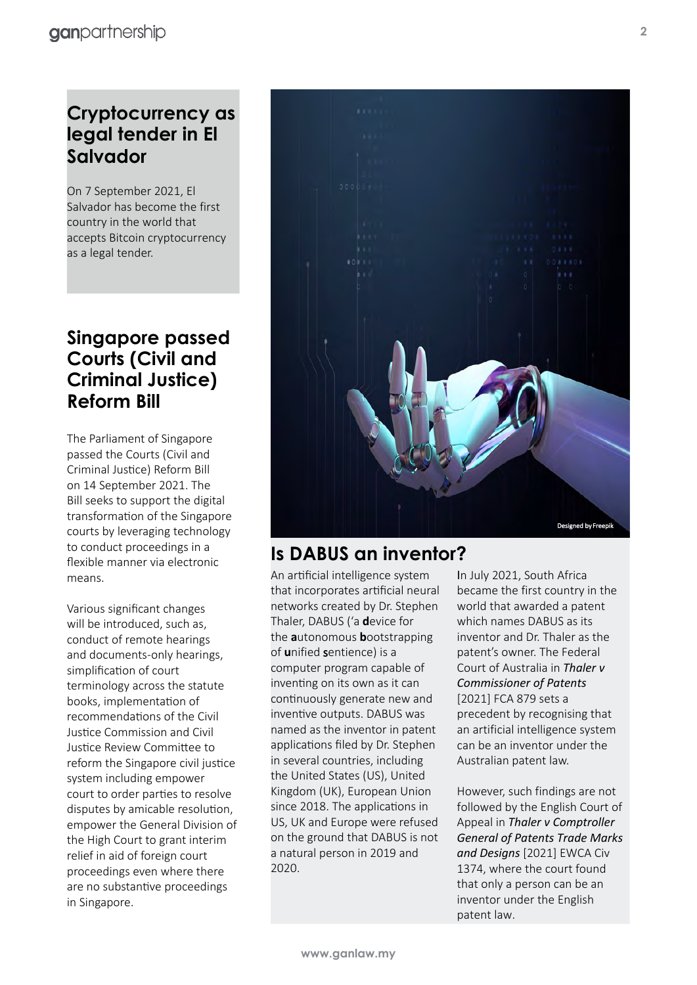## **Cryptocurrency as legal tender in El Salvador**

On 7 September 2021, El Salvador has become the first country in the world that accepts Bitcoin cryptocurrency as a legal tender.

#### **Singapore passed Courts (Civil and Criminal Justice) Reform Bill**

The Parliament of Singapore passed the Courts (Civil and Criminal Justice) Reform Bill on 14 September 2021. The Bill seeks to support the digital transformation of the Singapore courts by leveraging technology to conduct proceedings in a flexible manner via electronic means.

Various significant changes will be introduced, such as, conduct of remote hearings and documents-only hearings, simplification of court terminology across the statute books, implementation of recommendations of the Civil Justice Commission and Civil Justice Review Committee to reform the Singapore civil justice system including empower court to order parties to resolve disputes by amicable resolution, empower the General Division of the High Court to grant interim relief in aid of foreign court proceedings even where there are no substantive proceedings in Singapore.



#### **Is DABUS an inventor?**

An artificial intelligence system that incorporates artificial neural networks created by Dr. Stephen Thaler, DABUS ('a **d**evice for the **a**utonomous **b**ootstrapping of **u**nified sentience) is a computer program capable of inventing on its own as it can continuously generate new and inventive outputs. DABUS was named as the inventor in patent applications filed by Dr. Stephen in several countries, including the United States (US), United Kingdom (UK), European Union since 2018. The applications in US, UK and Europe were refused on the ground that DABUS is not a natural person in 2019 and 2020.

In July 2021, South Africa became the first country in the world that awarded a patent which names DABUS as its inventor and Dr. Thaler as the patent's owner. The Federal Court of Australia in *Thaler v Commissioner of Patents* [2021] FCA 879 sets a precedent by recognising that an artificial intelligence system can be an inventor under the Australian patent law.

However, such findings are not followed by the English Court of Appeal in *Thaler v Comptroller General of Patents Trade Marks and Designs* [2021] EWCA Civ 1374, where the court found that only a person can be an inventor under the English patent law.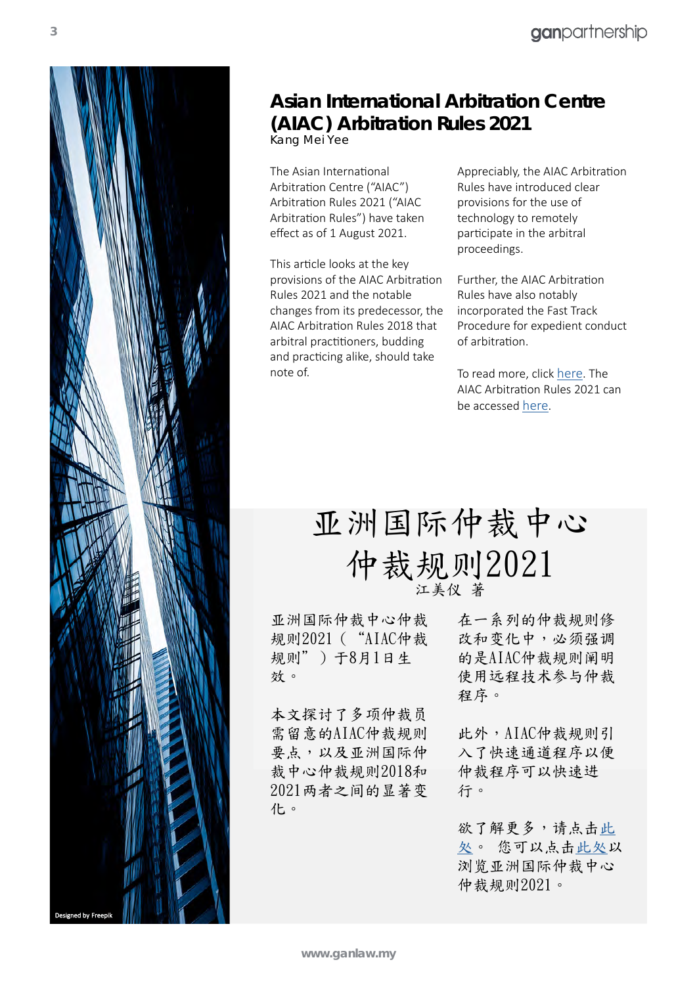

# **Asian International Arbitration Centre (AIAC) Arbitration Rules 2021**

*Kang Mei Yee*

The Asian International Arbitration Centre ("AIAC") Arbitration Rules 2021 ("AIAC Arbitration Rules") have taken effect as of 1 August 2021.

This article looks at the key provisions of the AIAC Arbitration Rules 2021 and the notable changes from its predecessor, the AIAC Arbitration Rules 2018 that arbitral practitioners, budding and practicing alike, should take note of.

Appreciably, the AIAC Arbitration Rules have introduced clear provisions for the use of technology to remotely participate in the arbitral proceedings.

Further, the AIAC Arbitration Rules have also notably incorporated the Fast Track Procedure for expedient conduct of arbitration.

To read more, click [here.](https://www.ganlaw.my/aiac-arbitration-rules-2021/) The AIAC Arbitration Rules 2021 can be accessed [here](https://admin.aiac.world/uploads/ckupload/ckupload_20210801103608_18.pdf).

# 亚洲国际仲裁中心 仲裁规则2021 江美仪 著

亚洲国际仲裁中心仲裁 在一系列的仲裁规则修 规则2021("AIAC仲裁 改和变化中,必须强调 规则")于8月1日生 效。

本文探讨了多项仲裁员 需留意的AIAC仲裁规则 要点,以及亚洲国际仲 裁中心仲裁规则2018和 2021两者之间的显著变 化。

的是AIAC仲裁规则阐明 使用远程技术参与仲裁 程序。

此外,AIAC仲裁规则引 入了快速通道程序以便 仲裁程序可以快速进 行。

欲了解更多,请点[击此](https://www.ganlaw.my/cn/%e4%ba%9a%e6%b4%b2%e5%9b%bd%e9%99%85%e4%bb%b2%e8%a3%81%e4%b8%ad%e5%bf%83%e4%bb%b2%e8%a3%81%e8%a7%84%e5%88%992021/) [处](https://www.ganlaw.my/cn/%e4%ba%9a%e6%b4%b2%e5%9b%bd%e9%99%85%e4%bb%b2%e8%a3%81%e4%b8%ad%e5%bf%83%e4%bb%b2%e8%a3%81%e8%a7%84%e5%88%992021/)。 您可以点击[此处以](https://admin.aiac.world/uploads/ckupload/ckupload_20210801103608_18.pdf) 浏览亚洲国际仲裁中心 仲裁规则2021。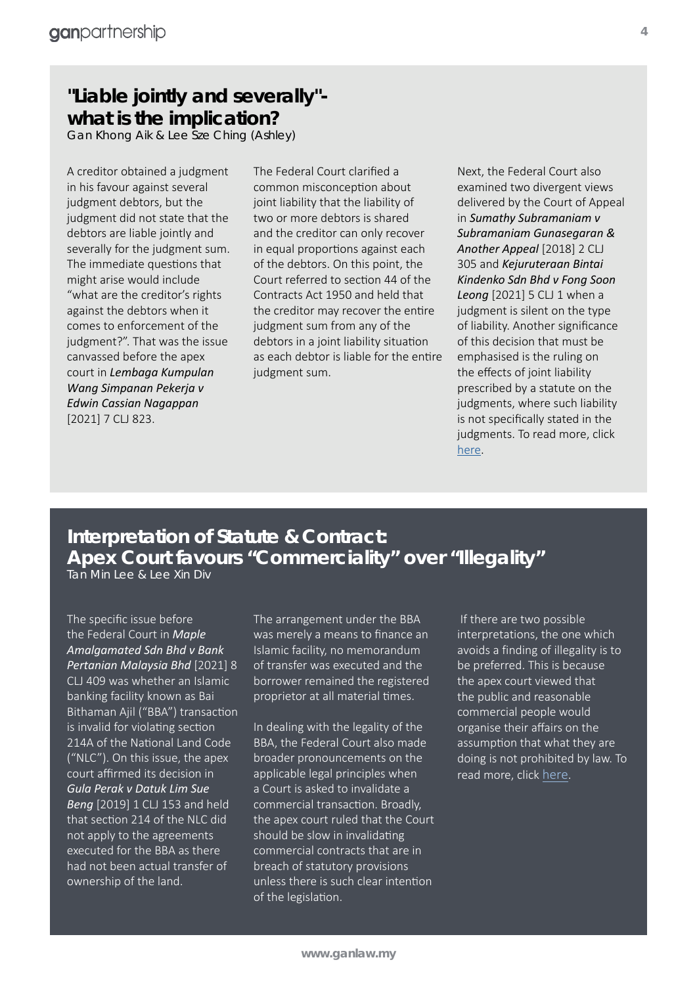#### **"Liable jointly and severally" what is the implication?**

*Gan Khong Aik & Lee Sze Ching (Ashley)*

A creditor obtained a judgment in his favour against several judgment debtors, but the judgment did not state that the debtors are liable jointly and severally for the judgment sum. The immediate questions that might arise would include "what are the creditor's rights against the debtors when it comes to enforcement of the judgment?". That was the issue canvassed before the apex court in *Lembaga Kumpulan Wang Simpanan Pekerja v Edwin Cassian Nagappan* [2021] 7 CLJ 823.

The Federal Court clarified a common misconception about joint liability that the liability of two or more debtors is shared and the creditor can only recover in equal proportions against each of the debtors. On this point, the Court referred to section 44 of the Contracts Act 1950 and held that the creditor may recover the entire judgment sum from any of the debtors in a joint liability situation as each debtor is liable for the entire judgment sum.

Next, the Federal Court also examined two divergent views delivered by the Court of Appeal in *Sumathy Subramaniam v Subramaniam Gunasegaran & Another Appeal* [2018] 2 CLJ 305 and *Kejuruteraan Bintai Kindenko Sdn Bhd v Fong Soon Leong* [2021] 5 CLJ 1 when a judgment is silent on the type of liability. Another significance of this decision that must be emphasised is the ruling on the effects of joint liability prescribed by a statute on the judgments, where such liability is not specifically stated in the judgments. To read more, click [here.](https://www.ganlaw.my/liable-jointly-and-severally-what-is-the-implication/)

# **Interpretation of Statute & Contract: Apex Court favours "Commerciality" over "Illegality"**

*Tan Min Lee & Lee Xin Div*

The specific issue before the Federal Court in *Maple Amalgamated Sdn Bhd v Bank Pertanian Malaysia Bhd* [2021] 8 CLJ 409 was whether an Islamic banking facility known as Bai Bithaman Ajil ("BBA") transaction is invalid for violating section 214A of the National Land Code ("NLC"). On this issue, the apex court affirmed its decision in *Gula Perak v Datuk Lim Sue Beng* [2019] 1 CLJ 153 and held that section 214 of the NLC did not apply to the agreements executed for the BBA as there had not been actual transfer of ownership of the land.

The arrangement under the BBA was merely a means to finance an Islamic facility, no memorandum of transfer was executed and the borrower remained the registered proprietor at all material times.

In dealing with the legality of the BBA, the Federal Court also made broader pronouncements on the applicable legal principles when a Court is asked to invalidate a commercial transaction. Broadly, the apex court ruled that the Court should be slow in invalidating commercial contracts that are in breach of statutory provisions unless there is such clear intention of the legislation.

 If there are two possible interpretations, the one which avoids a finding of illegality is to be preferred. This is because the apex court viewed that the public and reasonable commercial people would organise their affairs on the assumption that what they are doing is not prohibited by law. To read more, click [here](https://www.ganlaw.my/interpretation-of-statute-contract-apex-court-favours-commerciality-over-illegality/).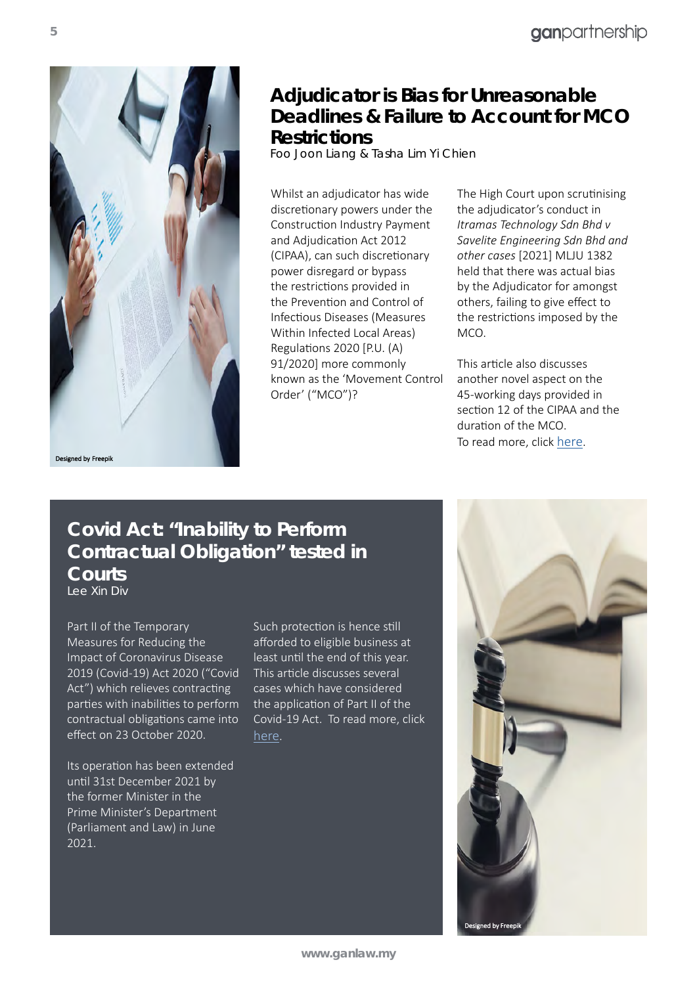

**Adjudicator is Bias for Unreasonable Deadlines & Failure to Account for MCO Restrictions**

*Foo Joon Liang & Tasha Lim Yi Chien*

Whilst an adjudicator has wide discretionary powers under the Construction Industry Payment and Adjudication Act 2012 (CIPAA), can such discretionary power disregard or bypass the restrictions provided in the Prevention and Control of Infectious Diseases (Measures Within Infected Local Areas) Regulations 2020 [P.U. (A) 91/2020] more commonly known as the 'Movement Control Order' ("MCO")?

The High Court upon scrutinising the adjudicator's conduct in *Itramas Technology Sdn Bhd v Savelite Engineering Sdn Bhd and other cases* [2021] MLJU 1382 held that there was actual bias by the Adjudicator for amongst others, failing to give effect to the restrictions imposed by the MCO.

This article also discusses another novel aspect on the 45-working days provided in section 12 of the CIPAA and the duration of the MCO. To read more, click [here.](https://www.ganlaw.my/adjudicator-is-bias-for-unreasonable-deadlines-failure-to-account-for-mco-restrictions/)

#### **Covid Act: "Inability to Perform Contractual Obligation" tested in Courts**

*Lee Xin Div* 

Part II of the Temporary Measures for Reducing the Impact of Coronavirus Disease 2019 (Covid-19) Act 2020 ("Covid Act") which relieves contracting parties with inabilities to perform contractual obligations came into effect on 23 October 2020.

Its operation has been extended until 31st December 2021 by the former Minister in the Prime Minister's Department (Parliament and Law) in June 2021.

Such protection is hence still afforded to eligible business at least until the end of this year. This article discusses several cases which have considered the application of Part II of the Covid-19 Act. To read more, click [here.](https://www.ganlaw.my/covid-act-inability-to-perform-contractual-obligation-tested-in-courts/)